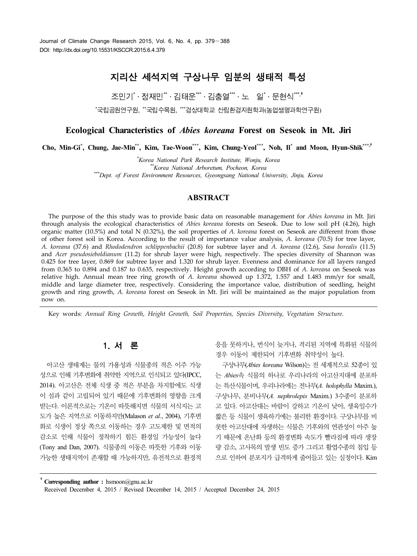# 지리산 세석지역 구상나무 임분의 생태적 특성

조민기 $^*$ ㆍ정재민 $^*$ ㆍ김태운  $^*$ ㆍ김충열  $^*$ ㆍ노 일 $^*$ ㆍ문현식  $^*$ ,

\*국립공원연구원, \*\*국립수목원, \*\*\*경상대학교 산림환경자원학과(농업생명과학연구원)

# **Ecological Characteristics of** *Abies koreana* **Forest on Seseok in Mt. Jiri**

**Cho, Min-Gi\* , Chung, Jae-Min\*\* , Kim, Tae-Woon\*\*\* , Kim, Chung-Yeol\*\*\* , Noh, Il\* and Moon, Hyun-Shik\*\*\*,**†

*\*Korea National Park Research Institute, Wonju, Korea \*\*Korea National Arboretum, Pocheon, Korea \*\*\*Dept. of Forest Environment Resources, Gyeongsang National University, Jinju, Korea*

### **ABSTRACT**

The purpose of the this study was to provide basic data on reasonable management for *Abies koreana* in Mt. Jiri through analysis the ecological characteristics of *Abies koreana* forests on Seseok. Due to low soil pH (4.26), high organic matter (10.5%) and total N (0.32%), the soil properties of *A. koreana* forest on Seseok are different from those of other forest soil in Korea. According to the result of importance value analysis, *A. koreana* (70.5) for tree layer, *A. koreana* (37.6) and *Rhododendron schlippenbachii* (20.8) for subtree layer and *A. koreana* (12.6), *Sasa borealis* (11.5) and *Acer pseudosieboldianum* (11.2) for shrub layer were high, respectively. The species diversity of Shannon was 0.425 for tree layer, 0.869 for subtree layer and 1.320 for shrub layer. Evenness and dominance for all layers ranged from 0.365 to 0.894 and 0.187 to 0.635, respectively. Height growth according to DBH of *A. koreana* on Seseok was relative high. Annual mean tree ring growth of *A. koreana* showed up 1.372, 1.557 and 1.483 mm/yr for small, middle and large diameter tree, respectively. Considering the importance value, distribution of seedling, height growth and ring growth, *A. koreana* forest on Seseok in Mt. Jiri will be maintained as the major population from now on.

Key words: *Annual Ring Growth, Height Growth, Soil Properties, Species Diversity, Vegetation Structure.*

# 1. 서 론

아고산 생태계는 물의 가용성과 식물종의 적은 이주 가능 성으로 인해 기후변화에 취약한 지역으로 인식되고 있다(IPCC, 2014). 아고산은 전체 식생 중 적은 부분을 차지함에도 식생 이 섬과 같이 고립되어 있기 때문에 기후변화의 영향을 크게 받는다. 이론적으로는 기온이 따뜻해지면 식물의 서식지는 고 도가 높은 지역으로 이동하지만(Malason *et al.*, 2004), 기후변 화로 식생이 정상 쪽으로 이동하는 경우 고도제한 및 면적의 감소로 인해 식물이 정착하기 힘든 환경일 가능성이 높다 (Tony and Dan, 2007). 식물종의 이동은 따뜻한 기후와 이동 가능한 생태지역이 존재할 때 가능하지만, 유전적으로 환경적

응을 못하거나, 번식이 늦거나, 격리된 지역에 특화된 식물의 경우 이동이 제한되어 기후변화 취약성이 높다.

구상나무(*Abies koreana* Wilson)는 전 세계적으로 52종이 있 는 *Abies*속 식물의 하나로 우리나라의 아고산지대에 분포하 는 특산식물이며, 우리나라에는 전나무(*A. holophylla* Maxim.), 구상나무, 분비나무(*A. nephrolepis* Maxim.) 3수종이 분포하 고 있다. 아고산대는 바람이 강하고 기온이 낮아, 생육일수가 짧은 등 식물이 생육하기에는 불리한 환경이다. 구상나무를 비 롯한 아고산대에 자생하는 식물은 기후와의 연관성이 아주 높 기 때문에 온난화 등의 환경변화 속도가 빨라짐에 따라 생장 량 감소, 고사목의 발생 빈도 증가 그리고 활엽수종의 침입 등 으로 인하여 분포지가 급격하게 줄어들고 있는 실정이다. Kim

†**Corresponding author :** hsmoon@gnu.ac.kr Received December 4, 2015 / Revised December 14, 2015 / Accepted December 24, 2015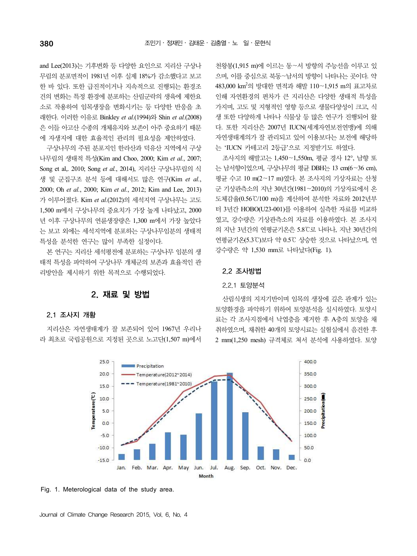and Lee(2013)는 기후변화 등 다양한 요인으로 지리산 구상나 무림의 분포면적이 1981년 이후 실제 18%가 감소했다고 보고 한 바 있다. 또한 급진적이거나 지속적으로 진행되는 환경조 건의 변화는 특정 환경에 분포하는 산림군락의 생육에 제한요 소로 작용하여 임목생장을 변화시키는 등 다양한 반응을 초 래한다. 이러한 이유로 Binkley *et al.*(1994)와 Shin *et al.*(2008) 은 이들 아고산 수종의 개체유지와 보존이 아주 중요하기 때문 에 자생지에 대한 효율적인 관리의 필요성을 제안하였다.

구상나무의 주된 분포지인 한라산과 덕유산 지역에서 구상 나무림의 생태적 특성(Kim and Choo, 2000; Kim *et al.*, 2007; Song et al,. 2010; Song *et al.*, 2014), 지리산 구상나무림의 식 생 및 군집구조 분석 등에 대해서도 많은 연구(Kim *et al.*, 2000; Oh *et al.*, 2000; Kim *et al.*, 2012; Kim and Lee, 2013) 가 이루어졌다. Kim *et al.*(2012)의 세석지역 구상나무는 고도 1,500 m에서 구상나무의 중요치가 가장 높게 나타났고, 2000 년 이후 구상나무의 연륜생장량은 1,300 m에서 가장 높았다 는 보고 외에는 세석지역에 분포하는 구상나무임분의 생태적 특성을 분석한 연구는 많이 부족한 실정이다.

본 연구는 지리산 세석평전에 분포하는 구상나무 임분의 생 태적 특성을 파악하여 구상나무 개체군의 보존과 효율적인 관 리방안을 제시하기 위한 목적으로 수행되었다.

# 2. 재료 및 방법

#### 2.1 조사지 개황

지리산은 자연생태계가 잘 보존되어 있어 1967년 우리나 라 최초로 국립공원으로 지정된 곳으로 노고단(1,507 m)에서

천왕봉(1,915 m)에 이르는 동∼서 방향의 주능선을 이루고 있 으며, 이를 중심으로 북동∼남서의 방향이 나타나는 곳이다. 약 483,000 km<sup>2</sup>의 방대한 면적과 해발 110∼1,915 m의 표고차로 인해 자연환경의 편차가 큰 지리산은 다양한 생태적 특성을 가지며, 고도 및 지형적인 영향 등으로 생물다양성이 크고, 식 생 또한 다양하게 나타나 식물상 등 많은 연구가 진행되어 왔 다. 또한 지리산은 2007년 IUCN(세계자연보전연맹)에 의해 자연생태계의가 잘 관리되고 있어 이용보다는 보전에 해당하 는 'IUCN 카테고리 2등급'으로 지정받기도 하였다.

조사지의 해발고는 1,450∼1,550m, 평균 경사 12°, 남향 또 는 남서향이었으며, 구상나무의 평균 DBH는 13 cm(6∼36 cm), 평균 수고 10 m(2∼17 m)였다. 본 조사지의 기상자료는 산청 군 기상관측소의 지난 30년간(1981∼2010)의 기상자료에서 온 도체감율(0.56℃/100 m)을 계산하여 분석한 자료와 2012년부 터 3년간 HOBO(U23-001)를 이용하여 실측한 자료를 비교하 였고, 강수량은 기상관측소의 자료를 이용하였다. 본 조사지 의 지난 3년간의 연평균기온은 5.8℃로 나타나, 지난 30년간의 연평균기온(5.3℃)보다 약 0.5℃ 상승한 것으로 나타났으며, 연 강수량은 약 1,530 mm로 나타났다(Fig. 1).

#### 2.2 조사방법

#### 2.2.1 토양분석

산림식생의 지지기반이며 임목의 생장에 깊은 관계가 있는 토양환경을 파악하기 위하여 토양분석을 실시하였다. 토양시 료는 각 조사지점에서 낙엽층을 제거한 후 A층의 토양을 채 취하였으며, 채취한 40개의 토양시료는 실험실에서 음건한 후 2 mm(1,250 mesh) 규격체로 쳐서 분석에 사용하였다. 토양



Fig. 1. Meterological data of the study area.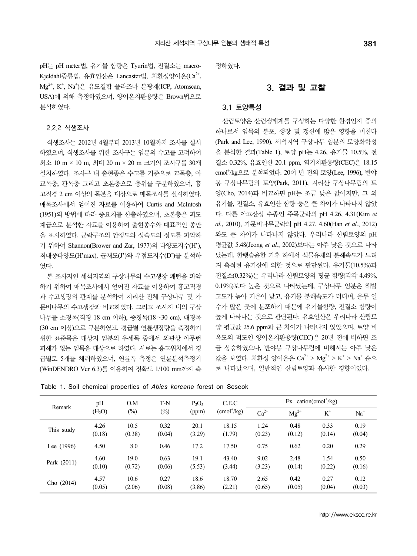pH는 pH meter법, 유기물 함량은 Tyurin법, 전질소는 macro-Kjeldahl증류법, 유효인산은 Lancaster법, 치화성양이온(Ca<sup>2+</sup>, Kjeldahl증류법, 유효인산은 Lancaster법, 치환성양이온(Ca<sup>2+</sup>,<br>Mg<sup>2+</sup>, K<sup>+</sup>, Na<sup>+</sup>)은 유도결합 플라즈마 분광계(ICP, Atomscan, USA)에 의해 측정하였으며, 양이온치환용량은 Brown법으로 분석하였다.

#### 2.2.2 식생조사

식생조사는 2012년 4월부터 2013년 10월까지 조사를 실시 하였으며, 식생조사를 위한 조사구는 임분의 수고를 고려하여 최소 10 m × 10 m, 최대 20 m × 20 m 크기의 조사구를 30개 설치하였다. 조사구 내 출현종은 수고를 기준으로 교목층, 아 교목층, 관목층 그리고 초본층으로 층위를 구분하였으며, 흉 고직경 2 cm 이상의 목본을 대상으로 매목조사를 실시하였다. 매목조사에서 얻어진 자료를 이용하여 Curtis and McIntosh (1951)의 방법에 따라 중요치를 산출하였으며, 초본층은 피도 계급으로 분석한 자료를 이용하여 출현종수와 대표적인 종만 을 표시하였다. 군락구조의 안정도와 성숙도의 정도를 파악하 기 위하여 Shannon(Brower and Zar, 1977)의 다양도지수(H'), 최대종다양도(H'max), 균재도(J')와 우점도지수(D')를 분석하 였다.

하기 위하여 매목조사에서 얻어진 자료를 이용하여 흉고직경 과 수고생장의 관계를 분석하여 지리산 전체 구상나무 및 가 문비나무의 수고생장과 비교하였다. 그리고 조사지 내의 구상 나무를 소경목(직경 18 cm 이하), 중경목(18∼30 cm), 대경목 (30 cm 이상)으로 구분하였고, 경급별 연륜생장량을 측정하기 위한 표준목은 대상지 임분의 우세목 중에서 외관상 아무런 피해가 없는 임목을 대상으로 하였다. 시료는 흉고위치에서 경 급별로 5개를 채취하였으며, 연륜폭 측정은 연륜분석측정기 (WinDENDRO Ver 6.3)를 이용하여 정확도 1/100 mm까지 측 정하였다.

### 3. 결과 및 고찰

#### 3.1 토양특성

본 조사지인 세석지역의 구상나무의 수고생장 패턴을 파악 전질소(0.32%)는 우리나라 산림토양의 평균 함량(각각 4.49%, 산림토양은 산림생태계를 구성하는 다양한 환경인자 중의 하나로서 임목의 분포, 생장 및 갱신에 많은 영향을 미친다 (Park and Lee, 1990). 세석지역 구상나무 임분의 토양화학성 을 분석한 결과(Table 1), 토양 pH는 4.26, 유기물 10.5%, 전 질소 0.32%, 유효인산 20.1 ppm, 염기치환용량(CEC)은 18.15 cmol<sup>+</sup> /kg으로 분석되었다. 20여 년 전의 토양(Lee, 1996), 반야 봉 구상나무림의 토양(Park, 2011), 지리산 구상나무림의 토 양(Cho, 2014)과 비교하면 pH는 조금 낮은 값이지만, 그 외 유기물, 전질소, 유효인산 함량 등은 큰 차이가 나타나지 않았 다. 다른 아고산성 수종인 주목군락의 pH 4.26, 4.31(Kim *et al.*, 2010), 가문비나무군락의 pH 4.27, 4.60(Han *et al.*, 2012) 와도 큰 차이가 나타나지 않았다. 우리나라 산림토양의 pH 평균값 5.48(Jeong *et al.*, 2002)보다는 아주 낮은 것으로 나타 났는데, 한랭습윤한 기후 하에서 식물유체의 분해속도가 느려 져 축적된 유기산에 의한 것으로 판단된다. 유기물(10.5%)과 0.19%)보다 높은 것으로 나타났는데, 구상나무 임분은 해발 고도가 높아 기온이 낮고, 유기물 분해속도가 더디며, 운무 일 수가 많은 곳에 분포하기 때문에 유기물함량, 전질소 함량이 높게 나타나는 것으로 판단된다. 유효인산은 우리나라 산림토 양 평균값 25.6 ppm과 큰 차이가 나타나지 않았으며, 토양 비 옥도의 척도인 양이온치환용량(CEC)은 20년 전에 비하면 조 금 상승하였으나, 반야봉 구상나무림에 비해서는 아주 낮은 값을 보였다. 치환성 양이온은 Ca<sup>2+</sup> > Mg<sup>2+</sup> > K<sup>+</sup> > Na<sup>+</sup> 순으 로 나타났으며, 일반적인 산림토양과 유사한 경향이었다.

|             | pH                 | O.M<br>T-N |        | $P_2O_5$ | C.E.C                             | Ex. cation(cmol <sup><math>+</math></sup> /kg) |           |              |        |
|-------------|--------------------|------------|--------|----------|-----------------------------------|------------------------------------------------|-----------|--------------|--------|
| Remark      | (H <sub>2</sub> O) | $(\%)$     | $(\%)$ | (ppm)    | $\text{cmol}^{\dagger}/\text{kg}$ | $Ca^{2+}$                                      | $Mg^{2+}$ | $\mbox{K}^+$ | $Na+$  |
| This study  | 4.26               | 10.5       | 0.32   | 20.1     | 18.15                             | 1.24                                           | 0.48      | 0.33         | 0.19   |
|             | (0.18)             | (0.38)     | (0.04) | (3.29)   | (1.79)                            | (0.23)                                         | (0.12)    | (0.14)       | (0.04) |
| Lee (1996)  | 4.50               | 8.0        | 0.46   | 17.2     | 17.50                             | 0.75                                           | 0.62      | 0.20         | 0.29   |
|             | 4.60               | 19.0       | 0.63   | 19.1     | 43.40                             | 9.02                                           | 2.48      | 1.54         | 0.50   |
| Park (2011) | (0.10)             | (0.72)     | (0.06) | (5.53)   | (3.44)                            | (3.23)                                         | (0.14)    | (0.22)       | (0.16) |
|             | 4.57               | 10.6       | 0.27   | 18.6     | 18.70                             | 2.65                                           | 0.42      | 0.27         | 0.12   |
| Cho (2014)  | (0.05)             | (2.06)     | (0.08) | (3.86)   | (2.21)                            | (0.65)                                         | (0.05)    | (0.04)       | (0.03) |

Table 1. Soil chemical properties of *Abies koreana* forest on Seseok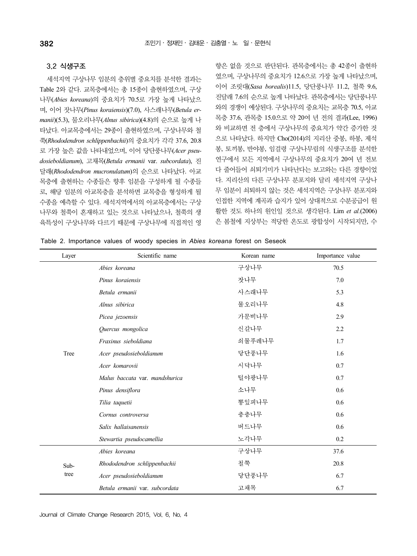#### 3.2 식생구조

세석지역 구상나무 임분의 층위별 중요치를 분석한 결과는 Table 2와 같다. 교목층에서는 총 15종이 출현하였으며, 구상 나무(*Abies koreana*)의 중요치가 70.5로 가장 높게 나타났으 <sup>며</sup>, 이어 잣나무(*Pinus koraiensis*)(7.0), 사스래나무(*Betula er- manii*)(5.3), 물오리나무(*Alnus sibirica*)(4.8)의 순으로 높게 나 타났다. 아교목층에서는 29종이 출현하였으며, 구상나무와 철 쭉(*Rhododendron schlippenbachii*)의 중요치가 각각 37.6, 20.8 로 가장 높은 값을 나타내었으며, 이어 당단풍나무(*Acer pseudosieboldianum*), 고채목(*Betula ermanii* var. *subcordata*), 진 달래(*Rhododendron mucronulatum*)의 순으로 나타났다. 아교 목층에 출현하는 수종들은 향후 임분을 구성하게 될 수종들 로, 해당 임분의 아교목층을 분석하면 교목층을 형성하게 될 수종을 예측할 수 있다. 세석지역에서의 아교목층에서는 구상 나무와 철쭉이 혼재하고 있는 것으로 나타났으나, 철쭉의 생 육특성이 구상나무와 다르기 때문에 구상나무에 직접적인 영

향은 없을 것으로 판단된다. 관목층에서는 총 42종이 출현하 였으며, 구상나무의 중요치가 12.6으로 가장 높게 나타났으며, 이어 조릿대(*Sasa borealis*)11.5, 당단풍나무 11.2, 철쭉 9.6, 진달래 7.6의 순으로 높게 나타났다. 관목층에서는 당단풍나무 와의 경쟁이 예상된다. 구상나무의 중요치는 교목층 70.5, 아교 목층 37.6, 관목층 15.0으로 약 20여 년 전의 결과(Lee, 1996) 와 비교하면 전 층에서 구상나무의 중요치가 약간 증가한 것 으로 나타났다. 하지만 Cho(2014)의 지리산 중봉, 하봉, 제석 봉, 토끼봉, 반야봉, 임걸령 구상나무림의 식생구조를 분석한 연구에서 모든 지역에서 구상나무의 중요치가 20여 년 전보 다 줄어들어 쇠퇴기미가 나타난다는 보고와는 다른 경향이었 다. 지리산의 다른 구상나무 분포지와 달리 세석지역 구상나 무 임분이 쇠퇴하지 않는 것은 세석지역은 구상나무 분포지와 인접한 지역에 계곡과 습지가 있어 상대적으로 수분공급이 원 활한 것도 하나의 원인일 것으로 생각된다. Lim *et al.*(2006) 은 봄철에 지상부는 적당한 온도로 광합성이 시작되지만, 수

| Table 2. Importance values of woody species in Abies koreana forest on Seseok |  |  |  |  |  |  |  |  |  |  |  |  |  |  |
|-------------------------------------------------------------------------------|--|--|--|--|--|--|--|--|--|--|--|--|--|--|
|-------------------------------------------------------------------------------|--|--|--|--|--|--|--|--|--|--|--|--|--|--|

| Layer | Scientific name                | Korean name | Importance value |
|-------|--------------------------------|-------------|------------------|
|       | Abies koreana                  | 구상나무        | 70.5             |
|       | Pinus koraiensis               | 잣나무         | 7.0              |
|       | Betula ermanii                 | 사스래나무       | 5.3              |
|       | Alnus sibirica                 | 물오리나무       | 4.8              |
|       | Picea jezoensis                | 가문비나무       | 2.9              |
|       | Quercus mongolica              | 신갈나무        | 2.2              |
|       | Fraxinus sieboldiana           | 쇠물푸레나무      | 1.7              |
| Tree  | Acer pseudosieboldianum        | 당단풍나무       | 1.6              |
|       | Acer komarovii                 | 시닥나무        | 0.7              |
|       | Malus baccata var. mandshurica | 털야광나무       | 0.7              |
|       | Pinus densiflora               | 소나무         | 0.6              |
|       | Tilia taquetii                 | 뽕잎피나무       | 0.6              |
|       | Cornus controversa             | 층층나무        | 0.6              |
|       | Salix hallaisanensis           | 버드나무        | 0.6              |
|       | Stewartia pseudocamellia       | 노각나무        | 0.2              |
|       | Abies koreana                  | 구상나무        | 37.6             |
| Sub-  | Rhododendron schlippenbachii   | 철쭉          | 20.8             |
| tree  | Acer pseudosieboldianum        | 당단풍나무       | 6.7              |
|       | Betula ermanii var. subcordata | 고채목         | 6.7              |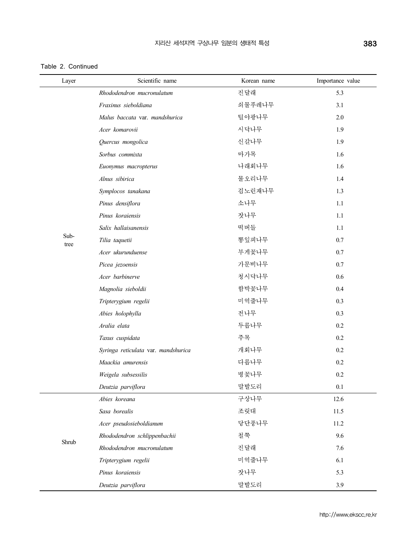Table 2. Continued

| Layer        | Scientific name                     | Korean name | Importance value |
|--------------|-------------------------------------|-------------|------------------|
|              | Rhododendron mucronulatum           | 진달래         | 5.3              |
|              | Fraxinus sieboldiana                | 쇠물푸레나무      | 3.1              |
|              | Malus baccata var. mandshurica      | 털야광나무       | 2.0              |
|              | Acer komarovii                      | 시닥나무        | 1.9              |
|              | Quercus mongolica                   | 신갈나무        | 1.9              |
|              | Sorbus commixta                     | 마가목         | 1.6              |
|              | Euonymus macropterus                | 나래회나무       | 1.6              |
|              | Alnus sibirica                      | 물오리나무       | 1.4              |
|              | Symplocos tanakana                  | 검노린재나무      | 1.3              |
|              | Pinus densiflora                    | 소나무         | 1.1              |
|              | Pinus koraiensis                    | 잣나무         | 1.1              |
|              | Salix hallaisanensis                | 떡버들         | 1.1              |
| Sub-<br>tree | Tilia taquetii                      | 뽕잎피나무       | 0.7              |
|              | Acer ukurunduense                   | 부게꽃나무       | 0.7              |
|              | Picea jezoensis                     | 가문비나무       | 0.7              |
|              | Acer barbinerve                     | 청시닥나무       | 0.6              |
|              | Magnolia sieboldii                  | 함박꽃나무       | 0.4              |
|              | Tripterygium regelii                | 미역줄나무       | 0.3              |
|              | Abies holophylla                    | 전나무         | 0.3              |
|              | Aralia elata                        | 두릅나무        | 0.2              |
|              | Taxus cuspidata                     | 주목          | 0.2              |
|              | Syringa reticulata var. mandshurica | 개회나무        | 0.2              |
|              | Maackia amurensis                   | 다릅나무        | 0.2              |
|              | Weigela subsessilis                 | 병꽃나무        | 0.2              |
|              | Deutzia parviflora                  | 말발도리        | $0.1\,$          |
|              | Abies koreana                       | 구상나무        | 12.6             |
|              | Sasa borealis                       | 조릿대         | 11.5             |
|              | Acer pseudosieboldianum             | 당단풍나무       | 11.2             |
| Shrub        | Rhododendron schlippenbachii        | 철쭉          | 9.6              |
|              | Rhododendron mucronulatum           | 진달래         | 7.6              |
|              | Tripterygium regelii                | 미역줄나무       | 6.1              |
|              | Pinus koraiensis                    | 잣나무         | 5.3              |
|              | Deutzia parviflora                  | 말발도리        | 3.9              |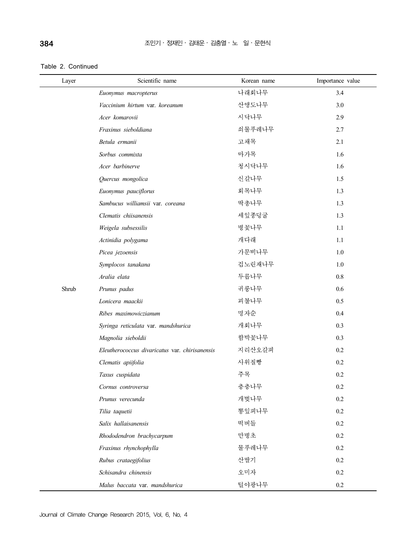Table 2. Continued

| Layer | Scientific name                                | Korean name | Importance value |
|-------|------------------------------------------------|-------------|------------------|
|       | Euonymus macropterus                           | 나래회나무       | 3.4              |
|       | Vaccinium hirtum var. koreanum                 | 산앵도나무       | 3.0              |
|       | Acer komarovii                                 | 시닥나무        | 2.9              |
|       | Fraxinus sieboldiana                           | 쇠물푸레나무      | 2.7              |
|       | Betula ermanii                                 | 고채목         | 2.1              |
|       | Sorbus commixta                                | 마가목         | 1.6              |
|       | Acer barbinerve                                | 청시닥나무       | 1.6              |
|       | Quercus mongolica                              | 신갈나무        | 1.5              |
|       | Euonymus pauciflorus                           | 회목나무        | 1.3              |
|       | Sambucus williamsii var. coreana               | 딱총나무        | 1.3              |
|       | Clematis chiisanensis                          | 세잎종덩굴       | 1.3              |
|       | Weigela subsessilis                            | 병꽃나무        | $1.1\,$          |
|       | Actinidia polygama                             | 개다래         | 1.1              |
|       | Picea jezoensis                                | 가문비나무       | 1.0              |
|       | Symplocos tanakana                             | 검노린재나무      | 1.0              |
|       | Aralia elata                                   | 두릅나무        | $0.8\,$          |
| Shrub | Prunus padus                                   | 귀룽나무        | 0.6              |
|       | Lonicera maackii                               | 괴불나무        | 0.5              |
|       | Ribes maximowiczianum                          | 명자순         | 0.4              |
|       | Syringa reticulata var. mandshurica            | 개회나무        | 0.3              |
|       | Magnolia sieboldii                             | 함박꽃나무       | 0.3              |
|       | Eleutherococcus divaricatus var. chirisanensis | 지리산오갈피      | 0.2              |
|       | Clematis apiifolia                             | 사위질빵        | 0.2              |
|       | Taxus cuspidata                                | 주목          | 0.2              |
|       | Cornus controversa                             | 층층나무        | $0.2\,$          |
|       | Prunus verecunda                               | 개벚나무        | 0.2              |
|       | Tilia taquetii                                 | 뽕잎피나무       | 0.2              |
|       | Salix hallaisanensis                           | 떡버들         | 0.2              |
|       | Rhododendron brachycarpum                      | 만병초         | 0.2              |
|       | Fraxinus rhynchophylla                         | 물푸레나무       | 0.2              |
|       | Rubus crataegifolius                           | 산딸기         | 0.2              |
|       | Schisandra chinensis                           | 오미자         | 0.2              |
|       | Malus baccata var. mandshurica                 | 털야광나무       | $0.2\,$          |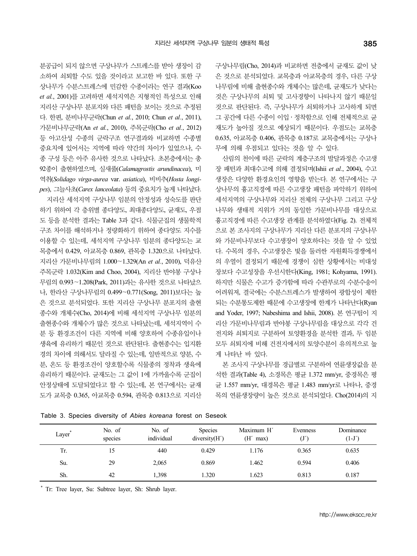구상나무림(Cho, 2014)과 비교하면 전층에서 균재도 값이 낮 은 것으로 분석되었다. 교목층과 아교목층의 경우, 다른 구상 나무림에 비해 출현종수와 개체수는 많은데, 균재도가 낮다는 것은 구상나무의 쇠퇴 및 고사경향이 나타나지 않기 때문일 것으로 판단된다. 즉, 구상나무가 쇠퇴하거나 고사하게 되면 그 공간에 다른 수종이 이입․정착함으로 인해 전체적으로 균 재도가 높아질 것으로 예상되기 때문이다. 우점도는 교목층 0.635, 아교목층 0.406, 관목층 0.187로 교목층에서는 구상나 무에 의해 우점되고 있다는 것을 알 수 있다.

산림의 천이에 따른 군락의 계층구조의 발달과정은 수고생 장 패턴과 최대수고에 의해 결정되며(Ishii *et al.*, 2004), 수고 생장은 다양한 환경요인의 영향을 받는다. 본 연구에서는 구 상나무의 흉고직경에 따른 수고생장 패턴을 파악하기 위하여 세석지역의 구상나무와 지리산 전체의 구상나무 그리고 구상 나무와 생태적 지위가 거의 동일한 가문비나무를 대상으로 흉고직경에 따른 수고생장 관계를 분석하였다(Fig. 2). 전체적 으로 본 조사지의 구상나무가 지리산 다른 분포지의 구상나무 와 가문비나무보다 수고생장이 양호하다는 것을 알 수 있었 다. 수목의 경우, 수고생장은 빛을 둘러싼 자원획득경쟁에서 의 우열이 결정되기 때문에 경쟁이 심한 상황에서는 비대성 장보다 수고성장을 우선시한다(King, 1981; Kohyama, 1991). 하지만 식물은 수고가 증가함에 따라 수관부로의 수분수송이 어려워져, 결국에는 수분스트레스가 발생하여 광합성이 제한 되는 수분통도제한 때문에 수고생장에 한계가 나타난다(Ryan and Yoder, 1997; Nabeshima and Ishii, 2008). 본 연구팀이 지 리산 가문비나무림과 반야봉 구상나무림을 대상으로 각각 건 전지와 쇠퇴지로 구분하여 토양환경을 분석한 결과, 두 임분 모두 쇠퇴지에 비해 건전지에서의 토양수분이 유의적으로 높 게 나타난 바 있다.

본 조사지 구상나무를 경급별로 구분하여 연륜생장값을 분 석한 결과(Table 4), 소경목은 평균 1.372 mm/yr, 중경목은 평 균 1.557 mm/yr, 대경목은 평균 1.483 mm/yr로 나타나, 중경 목의 연륜생장량이 높은 것으로 분석되었다. Cho(2014)의 지

| Layer <sup>*</sup> | No. of<br>$\sim$<br>species | No. of<br>individual | Species<br>diversity(H') | Maximum H'<br>(H′<br>max) | Evenness | Dominance<br>$(1-J')$ |
|--------------------|-----------------------------|----------------------|--------------------------|---------------------------|----------|-----------------------|
| Tr.                | 15                          | 440                  | 0.429                    | 1.176                     | 0.365    | 0.635                 |
| Su.                | 29                          | 2,065                | 0.869                    | 1.462                     | 0.594    | 0.406                 |
| Sh.                | 42                          | 1,398                | 1.320                    | 1.623                     | 0.813    | 0.187                 |

Table 3. Species diversity of *Abies koreana* forest on Seseok

분공급이 되지 않으면 구상나무가 스트레스를 받아 생장이 감 소하여 쇠퇴할 수도 있을 것이라고 보고한 바 있다. 또한 구 상나무가 수분스트레스에 민감한 수종이라는 연구 결과(Koo *et al.*, 2001)를 고려하면 세석지역은 지형적인 특성으로 인해 지리산 구상나무 분포지와 다른 패턴을 보이는 것으로 추정된 다. 한편, 분비나무군락(Chun *et al.*, 2010; Chun *et al.*, 2011), 가문비나무군락(An *et al.*, 2010), 주목군락(Cho *et al.*, 2012) 등 아고산성 수종의 군락구조 연구결과와 비교하면 수종별 중요치에 있어서는 지역에 따라 약간의 차이가 있었으나, 수 종 구성 등은 아주 유사한 것으로 나타났다. 초본층에서는 총 92종이 출현하였으며, 실새풀(*Calamagrostis arundinacea*), 미 역취(*Solidago virga-aurea* var. *asiatica*), 비비추(*Hosta longipes*), 그늘사초(*Carex lanceolata*) 등의 중요치가 높게 나타났다. 지리산 세석지역 구상나무 임분의 안정성과 성숙도를 판단 하기 위하여 각 층위별 종다양도, 최대종다양도, 균재도, 우점 도 등을 분석한 결과는 Table 3과 같다. 식물군집의 생물학적 구조 차이를 해석하거나 정량화하기 위하여 종다양도 지수를 이용할 수 있는데, 세석지역 구상나무 임분의 종다양도는 교 목층에서 0.429, 아교목층 0.869, 관목층 1.320으로 나타났다. 지리산 가문비나무림의 1.000∼1.329(An *et al.*, 2010), 덕유산 주목군락 1.032(Kim and Choo, 2004), 지리산 반야봉 구상나 무림의 0.993∼1.208(Park, 2011)과는 유사한 것으로 나타났으 나, 한라산 구상나무림의 0.499∼0.771(Song, 2011)보다는 높 은 것으로 분석되었다. 또한 지리산 구상나무 분포지의 출현 종수와 개체수(Cho, 2014)에 비해 세석지역 구상나무 임분의 출현종수와 개체수가 많은 것으로 나타났는데, 세석지역이 수 분 등 환경조건이 다른 지역에 비해 양호하여 수종유입이나 생육에 유리하기 때문인 것으로 판단된다. 출현종수는 입지환 경의 차이에 의해서도 달라질 수 있는데, 일반적으로 양분, 수 분, 온도 등 환경조건이 양호할수록 식물종의 정착과 생육에 유리하기 때문이다. 균재도는 그 값이 1에 가까울수록 군집이 안정상태에 도달되었다고 할 수 있는데, 본 연구에서는 균재 도가 교목층 0.365, 아교목층 0.594, 관목층 0.813으로 지리산

\* Tr: Tree layer, Su: Subtree layer, Sh: Shrub layer.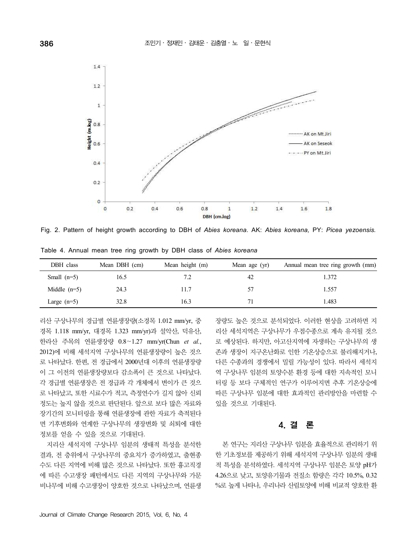

Fig. 2. Pattern of height growth according to DBH of *Abies koreana.* AK: *Abies koreana,* PY: *Picea yezoensis.*

| DBH class      | Mean DBH (cm) | Mean height (m) | Mean age (yr) | Annual mean tree ring growth (mm) |
|----------------|---------------|-----------------|---------------|-----------------------------------|
| Small $(n=5)$  | 16.5          | 7.2             | 42            | 1.372                             |
| Middle $(n=5)$ | 24.3          | 11.7            | 57            | 1.557                             |
| Large $(n=5)$  | 32.8          | 16.3            |               | 1.483                             |

Table 4. Annual mean tree ring growth by DBH class of *Abies koreana*

리산 구상나무의 경급별 연륜생장량(소경목 1.012 mm/yr, 중 경목 1.118 mm/yr, 대경목 1.323 mm/yr)과 설악산, 덕유산, 한라산 주목의 연륜생장량 0.8∼1.27 mm/yr(Chun *et al.*,<br>2012)에 비해 세석지역 구상나무의 연륜생장량이 높은 것으 로 나타났다. 한편, 전 경급에서 2000년대 이후의 연륜생장량 이 그 이전의 연륜생장량보다 감소폭이 큰 것으로 나타났다. 각 경급별 연륜생장은 전 경급과 각 개체에서 변이가 큰 것으 로 나타났고, 또한 시료수가 적고, 측정연수가 길지 않아 신뢰 정도는 높지 않을 것으로 판단된다. 앞으로 보다 많은 자료와 장기간의 모니터링을 통해 연륜생장에 관한 자료가 축적된다 면 기후변화와 연계한 구상나무의 생장변화 및 쇠퇴에 대한 정보를 얻을 수 있을 것으로 기대된다.

지리산 세석지역 구상나무 임분의 생태적 특성을 분석한 결과, 전 층위에서 구상나무의 중요치가 증가하였고, 출현종 수도 다른 지역에 비해 많은 것으로 나타났다. 또한 흉고직경 에 따른 수고생장 패턴에서도 다른 지역의 구상나무와 가문 비나무에 비해 수고생장이 양호한 것으로 나타났으며, 연륜생 장량도 높은 것으로 분석되었다. 이러한 현상을 고려하면 지 리산 세석지역은 구상나무가 우점수종으로 계속 유지될 것으 로 예상된다. 하지만, 아고산지역에 자생하는 구상나무의 생 존과 생장이 지구온난화로 인한 기온상승으로 불리해지거나, 다른 수종과의 경쟁에서 밀릴 가능성이 있다. 따라서 세석지 역 구상나무 임분의 토양수분 환경 등에 대한 지속적인 모니 터링 등 보다 구체적인 연구가 이루어지면 추후 기온상승에 따른 구상나무 임분에 대한 효과적인 관리방안을 마련할 수 있을 것으로 기대된다.

## 4. 결 론

본 연구는 지리산 구상나무 임분을 효율적으로 관리하기 위 한 기초정보를 제공하기 위해 세석지역 구상나무 임분의 생태 적 특성을 분석하였다. 세석지역 구상나무 임분은 토양 pH가 4.26으로 낮고, 토양유기물과 전질소 함량은 각각 10.5%, 0.32 %로 높게 나타나, 우리나라 산림토양에 비해 비교적 양호한 환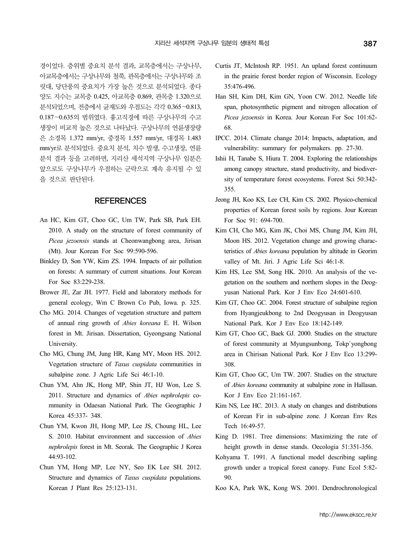경이었다. 층위별 중요치 분석 결과, 교목층에서는 구상나무, 아교목층에서는 구상나무와 철쭉, 관목층에서는 구상나무와 조 릿대, 당단풍의 중요치가 가장 높은 것으로 분석되었다. 종다 양도 지수는 교목층 0.425, 아교목층 0.869, 관목층 1.320으로 분석되었으며, 전층에서 균재도와 우점도는 각각 0.365∼0.813, 0.187∼0.635의 범위였다. 흉고직경에 따른 구상나무의 수고 생장이 비교적 높은 것으로 나타났다. 구상나무의 연륜생장량 은 소경목 1.372 mm/yr, 중경목 1.557 mm/yr, 대경목 1.483 mm/yr로 분석되었다. 중요치 분석, 치수 발생, 수고생장, 연륜 분석 결과 등을 고려하면, 지리산 세석지역 구상나무 임분은 앞으로도 구상나무가 우점하는 군락으로 계속 유지될 수 있 을 것으로 판단된다.

### **REFERENCES**

- An HC, Kim GT, Choo GC, Um TW, Park SB, Park EH. 2010. A study on the structure of forest community of *Picea jezoensis* stands at Cheonwangbong area, Jirisan (Mt). Jour Korean For Soc 99:590-596.
- Binkley D, Son YW, Kim ZS. 1994. Impacts of air pollution on forests: A summary of current situations. Jour Korean For Soc 83:229-238.
- Brower JE, Zar JH. 1977. Field and laboratory methods for general ecology, Wm C Brown Co Pub, Iowa. p. 325.
- Cho MG. 2014. Changes of vegetation structure and pattern of annual ring growth of *Abies koreana* E. H. Wilson forest in Mt. Jirisan. Dissertation, Gyeongsang National University.
- Cho MG, Chung JM, Jung HR, Kang MY, Moon HS. 2012. Vegetation structure of *Taxus cuspidata* communities in subalpine zone. J Agric Life Sci 46:1-10.
- Chun YM, Ahn JK, Hong MP, Shin JT, HJ Won, Lee S. 2011. Structure and dynamics of *Abies nephrolepis* community in Odaesan National Park. The Geographic J Korea 45:337- 348.
- Chun YM, Kwon JH, Hong MP, Lee JS, Choung HL, Lee S. 2010. Habitat environment and succession of *Abies nephrolepis* forest in Mt. Seorak. The Geographic J Korea 44:93-102.
- Chun YM, Hong MP, Lee NY, Seo EK Lee SH. 2012. Structure and dynamics of *Taxus cuspidata* populations. Korean J Plant Res 25:123-131.
- Curtis JT, McIntosh RP. 1951. An upland forest continuum in the prairie forest border region of Wisconsin. Ecology 35:476-496.
- Han SH, Kim DH, Kim GN, Yoon CW. 2012. Needle life span, photosynthetic pigment and nitrogen allocation of *Picea jezoensis* in Korea. Jour Korean For Soc 101:62- 68.
- IPCC. 2014. Climate change 2014: Impacts, adaptation, and vulnerability: summary for polymakers. pp. 27-30.
- Ishii H, Tanabe S, Hiura T. 2004. Exploring the relationships among canopy structure, stand productivity, and biodiversity of temperature forest ecosystems. Forest Sci 50:342- 355.
- Jeong JH, Koo KS, Lee CH, Kim CS. 2002. Physico-chemical properties of Korean forest soils by regions. Jour Korean For Soc 91: 694-700.
- Kim CH, Cho MG, Kim JK, Choi MS, Chung JM, Kim JH, Moon HS. 2012. Vegetation change and growing characteristics of *Abies koreana* population by altitude in Georim valley of Mt. Jiri. J Agric Life Sci 46:1-8.
- Kim HS, Lee SM, Song HK. 2010. An analysis of the vegetation on the southern and northern slopes in the Deogyusan National Park. Kor J Env Eco 24:601-610.
- Kim GT, Choo GC. 2004. Forest structure of subalpine region from Hyangjeukbong to 2nd Deogyusan in Deogyusan National Park. Kor J Env Eco 18:142-149.
- Kim GT, Choo GC, Baek GJ. 2000. Studies on the structure of forest community at Myungsunbong, Tokp`yongbong area in Chirisan National Park. Kor J Env Eco 13:299- 308.
- Kim GT, Choo GC, Um TW. 2007. Studies on the structure of *Abies koreana* community at subalpine zone in Hallasan. Kor J Env Eco 21:161-167.
- Kim NS, Lee HC. 2013. A study on changes and distributions of Korean Fir in sub-alpine zone. J Korean Env Res Tech 16:49-57.
- King D. 1981. Tree dimensions: Maximizing the rate of height growth in dense stands. Oecologia 51:351-356.
- Kohyama T. 1991. A functional model describing sapling growth under a tropical forest canopy. Func Ecol 5:82- 90.
- Koo KA, Park WK, Kong WS. 2001. Dendrochronological